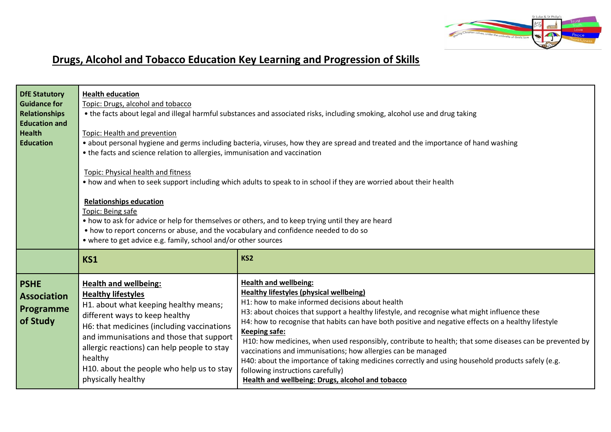

## **Drugs, Alcohol and Tobacco Education Key Learning and Progression of Skills**

| <b>DfE Statutory</b><br><b>Guidance for</b><br><b>Relationships</b><br><b>Education and</b><br><b>Health</b><br><b>Education</b> | <b>Health education</b><br>Topic: Drugs, alcohol and tobacco<br>• the facts about legal and illegal harmful substances and associated risks, including smoking, alcohol use and drug taking<br>Topic: Health and prevention<br>• about personal hygiene and germs including bacteria, viruses, how they are spread and treated and the importance of hand washing<br>• the facts and science relation to allergies, immunisation and vaccination<br>Topic: Physical health and fitness<br>• how and when to seek support including which adults to speak to in school if they are worried about their health<br><b>Relationships education</b><br>Topic: Being safe<br>• how to ask for advice or help for themselves or others, and to keep trying until they are heard<br>• how to report concerns or abuse, and the vocabulary and confidence needed to do so<br>• where to get advice e.g. family, school and/or other sources |                                                                                                                                                                                                                                                                                                                                                                                                                                                                                                                                                                                                                                                                                                                                           |  |  |
|----------------------------------------------------------------------------------------------------------------------------------|------------------------------------------------------------------------------------------------------------------------------------------------------------------------------------------------------------------------------------------------------------------------------------------------------------------------------------------------------------------------------------------------------------------------------------------------------------------------------------------------------------------------------------------------------------------------------------------------------------------------------------------------------------------------------------------------------------------------------------------------------------------------------------------------------------------------------------------------------------------------------------------------------------------------------------|-------------------------------------------------------------------------------------------------------------------------------------------------------------------------------------------------------------------------------------------------------------------------------------------------------------------------------------------------------------------------------------------------------------------------------------------------------------------------------------------------------------------------------------------------------------------------------------------------------------------------------------------------------------------------------------------------------------------------------------------|--|--|
|                                                                                                                                  | <b>KS1</b>                                                                                                                                                                                                                                                                                                                                                                                                                                                                                                                                                                                                                                                                                                                                                                                                                                                                                                                         | KS <sub>2</sub>                                                                                                                                                                                                                                                                                                                                                                                                                                                                                                                                                                                                                                                                                                                           |  |  |
| <b>PSHE</b><br><b>Association</b><br>Programme<br>of Study                                                                       | <b>Health and wellbeing:</b><br><b>Healthy lifestyles</b><br>H1. about what keeping healthy means;<br>different ways to keep healthy<br>H6: that medicines (including vaccinations<br>and immunisations and those that support<br>allergic reactions) can help people to stay<br>healthy<br>H10. about the people who help us to stay<br>physically healthy                                                                                                                                                                                                                                                                                                                                                                                                                                                                                                                                                                        | <b>Health and wellbeing:</b><br><b>Healthy lifestyles (physical wellbeing)</b><br>H1: how to make informed decisions about health<br>H3: about choices that support a healthy lifestyle, and recognise what might influence these<br>H4: how to recognise that habits can have both positive and negative effects on a healthy lifestyle<br><b>Keeping safe:</b><br>H10: how medicines, when used responsibly, contribute to health; that some diseases can be prevented by<br>vaccinations and immunisations; how allergies can be managed<br>H40: about the importance of taking medicines correctly and using household products safely (e.g.<br>following instructions carefully)<br>Health and wellbeing: Drugs, alcohol and tobacco |  |  |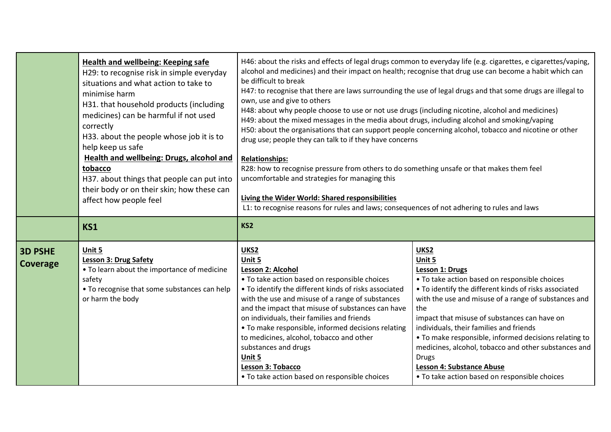|                            | Health and wellbeing: Keeping safe<br>H29: to recognise risk in simple everyday<br>situations and what action to take to<br>minimise harm<br>H31. that household products (including<br>medicines) can be harmful if not used<br>correctly<br>H33. about the people whose job it is to<br>help keep us safe<br><b>Health and wellbeing: Drugs, alcohol and</b><br>tobacco<br>H37. about things that people can put into<br>their body or on their skin; how these can<br>affect how people feel | H46: about the risks and effects of legal drugs common to everyday life (e.g. cigarettes, e cigarettes/vaping,<br>alcohol and medicines) and their impact on health; recognise that drug use can become a habit which can<br>be difficult to break<br>H47: to recognise that there are laws surrounding the use of legal drugs and that some drugs are illegal to<br>own, use and give to others<br>H48: about why people choose to use or not use drugs (including nicotine, alcohol and medicines)<br>H49: about the mixed messages in the media about drugs, including alcohol and smoking/vaping<br>H50: about the organisations that can support people concerning alcohol, tobacco and nicotine or other<br>drug use; people they can talk to if they have concerns<br><b>Relationships:</b><br>R28: how to recognise pressure from others to do something unsafe or that makes them feel<br>uncomfortable and strategies for managing this<br><b>Living the Wider World: Shared responsibilities</b><br>L1: to recognise reasons for rules and laws; consequences of not adhering to rules and laws |                                                                                                                                                                                                                                                                                                                                                                                                                                                                                                                                    |  |
|----------------------------|-------------------------------------------------------------------------------------------------------------------------------------------------------------------------------------------------------------------------------------------------------------------------------------------------------------------------------------------------------------------------------------------------------------------------------------------------------------------------------------------------|------------------------------------------------------------------------------------------------------------------------------------------------------------------------------------------------------------------------------------------------------------------------------------------------------------------------------------------------------------------------------------------------------------------------------------------------------------------------------------------------------------------------------------------------------------------------------------------------------------------------------------------------------------------------------------------------------------------------------------------------------------------------------------------------------------------------------------------------------------------------------------------------------------------------------------------------------------------------------------------------------------------------------------------------------------------------------------------------------------|------------------------------------------------------------------------------------------------------------------------------------------------------------------------------------------------------------------------------------------------------------------------------------------------------------------------------------------------------------------------------------------------------------------------------------------------------------------------------------------------------------------------------------|--|
|                            | <b>KS1</b>                                                                                                                                                                                                                                                                                                                                                                                                                                                                                      | KS <sub>2</sub>                                                                                                                                                                                                                                                                                                                                                                                                                                                                                                                                                                                                                                                                                                                                                                                                                                                                                                                                                                                                                                                                                            |                                                                                                                                                                                                                                                                                                                                                                                                                                                                                                                                    |  |
| <b>3D PSHE</b><br>Coverage | Unit 5<br><b>Lesson 3: Drug Safety</b><br>• To learn about the importance of medicine<br>safety<br>• To recognise that some substances can help<br>or harm the body                                                                                                                                                                                                                                                                                                                             | UKS2<br>Unit 5<br>Lesson 2: Alcohol<br>• To take action based on responsible choices<br>• To identify the different kinds of risks associated<br>with the use and misuse of a range of substances<br>and the impact that misuse of substances can have<br>on individuals, their families and friends<br>• To make responsible, informed decisions relating<br>to medicines, alcohol, tobacco and other<br>substances and drugs<br>Unit 5<br>Lesson 3: Tobacco<br>• To take action based on responsible choices                                                                                                                                                                                                                                                                                                                                                                                                                                                                                                                                                                                             | UKS2<br>Unit 5<br><b>Lesson 1: Drugs</b><br>• To take action based on responsible choices<br>• To identify the different kinds of risks associated<br>with the use and misuse of a range of substances and<br>the<br>impact that misuse of substances can have on<br>individuals, their families and friends<br>• To make responsible, informed decisions relating to<br>medicines, alcohol, tobacco and other substances and<br><b>Drugs</b><br><b>Lesson 4: Substance Abuse</b><br>• To take action based on responsible choices |  |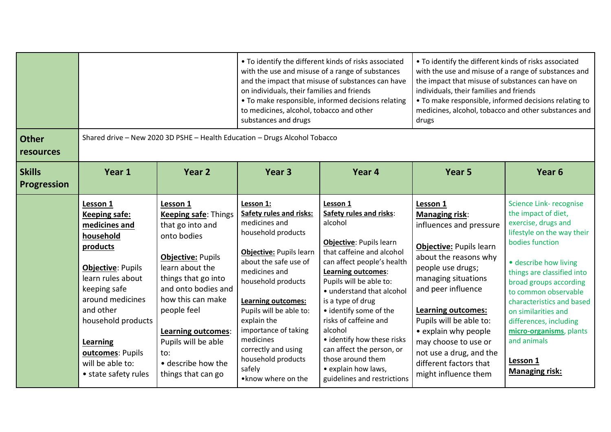|                                     |                                                                                                                                                                                                                                                                                |                                                                                                                                                                                                                                                                                                                    | • To identify the different kinds of risks associated<br>with the use and misuse of a range of substances<br>and the impact that misuse of substances can have<br>on individuals, their families and friends<br>• To make responsible, informed decisions relating<br>to medicines, alcohol, tobacco and other<br>substances and drugs                                  |                                                                                                                                                                                                                                                                                                                                                                                                                                                    | • To identify the different kinds of risks associated<br>with the use and misuse of a range of substances and<br>the impact that misuse of substances can have on<br>individuals, their families and friends<br>• To make responsible, informed decisions relating to<br>medicines, alcohol, tobacco and other substances and<br>drugs                                  |                                                                                                                                                                                                                                                                                                                                                                                             |  |
|-------------------------------------|--------------------------------------------------------------------------------------------------------------------------------------------------------------------------------------------------------------------------------------------------------------------------------|--------------------------------------------------------------------------------------------------------------------------------------------------------------------------------------------------------------------------------------------------------------------------------------------------------------------|-------------------------------------------------------------------------------------------------------------------------------------------------------------------------------------------------------------------------------------------------------------------------------------------------------------------------------------------------------------------------|----------------------------------------------------------------------------------------------------------------------------------------------------------------------------------------------------------------------------------------------------------------------------------------------------------------------------------------------------------------------------------------------------------------------------------------------------|-------------------------------------------------------------------------------------------------------------------------------------------------------------------------------------------------------------------------------------------------------------------------------------------------------------------------------------------------------------------------|---------------------------------------------------------------------------------------------------------------------------------------------------------------------------------------------------------------------------------------------------------------------------------------------------------------------------------------------------------------------------------------------|--|
| <b>Other</b><br>resources           | Shared drive - New 2020 3D PSHE - Health Education - Drugs Alcohol Tobacco                                                                                                                                                                                                     |                                                                                                                                                                                                                                                                                                                    |                                                                                                                                                                                                                                                                                                                                                                         |                                                                                                                                                                                                                                                                                                                                                                                                                                                    |                                                                                                                                                                                                                                                                                                                                                                         |                                                                                                                                                                                                                                                                                                                                                                                             |  |
| <b>Skills</b><br><b>Progression</b> | Year 1                                                                                                                                                                                                                                                                         | Year <sub>2</sub>                                                                                                                                                                                                                                                                                                  | Year <sub>3</sub>                                                                                                                                                                                                                                                                                                                                                       | Year 4                                                                                                                                                                                                                                                                                                                                                                                                                                             | Year <sub>5</sub>                                                                                                                                                                                                                                                                                                                                                       | Year <sub>6</sub>                                                                                                                                                                                                                                                                                                                                                                           |  |
|                                     | Lesson 1<br><b>Keeping safe:</b><br>medicines and<br>household<br>products<br><b>Objective: Pupils</b><br>learn rules about<br>keeping safe<br>around medicines<br>and other<br>household products<br>Learning<br>outcomes: Pupils<br>will be able to:<br>• state safety rules | Lesson 1<br><b>Keeping safe: Things</b><br>that go into and<br>onto bodies<br><b>Objective: Pupils</b><br>learn about the<br>things that go into<br>and onto bodies and<br>how this can make<br>people feel<br><b>Learning outcomes:</b><br>Pupils will be able<br>to:<br>• describe how the<br>things that can go | Lesson 1:<br><b>Safety rules and risks:</b><br>medicines and<br>household products<br>Objective: Pupils learn<br>about the safe use of<br>medicines and<br>household products<br><b>Learning outcomes:</b><br>Pupils will be able to:<br>explain the<br>importance of taking<br>medicines<br>correctly and using<br>household products<br>safely<br>• know where on the | Lesson 1<br>Safety rules and risks:<br>alcohol<br><b>Objective: Pupils learn</b><br>that caffeine and alcohol<br>can affect people's health<br>Learning outcomes:<br>Pupils will be able to:<br>• understand that alcohol<br>is a type of drug<br>• identify some of the<br>risks of caffeine and<br>alcohol<br>• identify how these risks<br>can affect the person, or<br>those around them<br>· explain how laws,<br>guidelines and restrictions | Lesson 1<br><b>Managing risk:</b><br>influences and pressure<br>Objective: Pupils learn<br>about the reasons why<br>people use drugs;<br>managing situations<br>and peer influence<br><b>Learning outcomes:</b><br>Pupils will be able to:<br>• explain why people<br>may choose to use or<br>not use a drug, and the<br>different factors that<br>might influence them | Science Link-recognise<br>the impact of diet,<br>exercise, drugs and<br>lifestyle on the way their<br>bodies function<br>· describe how living<br>things are classified into<br>broad groups according<br>to common observable<br>characteristics and based<br>on similarities and<br>differences, including<br>micro-organisms, plants<br>and animals<br>Lesson 1<br><b>Managing risk:</b> |  |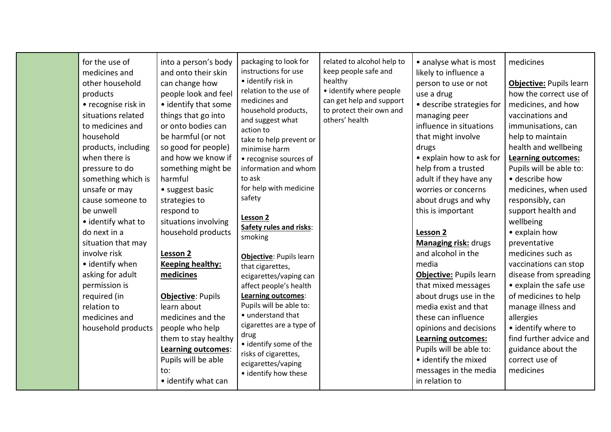| for the use of<br>medicines and<br>other household<br>products<br>• recognise risk in<br>situations related<br>to medicines and<br>household<br>products, including<br>when there is<br>pressure to do<br>something which is<br>unsafe or may<br>cause someone to<br>be unwell<br>• identify what to<br>do next in a<br>situation that may<br>involve risk<br>• identify when<br>asking for adult<br>permission is<br>required (in<br>relation to<br>medicines and<br>household products | into a person's body<br>and onto their skin<br>can change how<br>people look and feel<br>• identify that some<br>things that go into<br>or onto bodies can<br>be harmful (or not<br>so good for people)<br>and how we know if<br>something might be<br>harmful<br>• suggest basic<br>strategies to<br>respond to<br>situations involving<br>household products<br>Lesson 2<br><b>Keeping healthy:</b><br>medicines<br>Objective: Pupils<br>learn about<br>medicines and the<br>people who help<br>them to stay healthy<br>Learning outcomes:<br>Pupils will be able<br>to: | packaging to look for<br>instructions for use<br>· identify risk in<br>relation to the use of<br>medicines and<br>household products,<br>and suggest what<br>action to<br>take to help prevent or<br>minimise harm<br>• recognise sources of<br>information and whom<br>to ask<br>for help with medicine<br>safety<br>Lesson 2<br>Safety rules and risks:<br>smoking<br>Objective: Pupils learn<br>that cigarettes,<br>ecigarettes/vaping can<br>affect people's health<br>Learning outcomes:<br>Pupils will be able to:<br>• understand that<br>cigarettes are a type of<br>drug<br>• identify some of the<br>risks of cigarettes,<br>ecigarettes/vaping<br>• identify how these | related to alcohol help to<br>keep people safe and<br>healthy<br>• identify where people<br>can get help and support<br>to protect their own and<br>others' health | • analyse what is most<br>likely to influence a<br>person to use or not<br>use a drug<br>· describe strategies for<br>managing peer<br>influence in situations<br>that might involve<br>drugs<br>• explain how to ask for<br>help from a trusted<br>adult if they have any<br>worries or concerns<br>about drugs and why<br>this is important<br><b>Lesson 2</b><br><b>Managing risk: drugs</b><br>and alcohol in the<br>media<br>Objective: Pupils learn<br>that mixed messages<br>about drugs use in the<br>media exist and that<br>these can influence<br>opinions and decisions<br><b>Learning outcomes:</b><br>Pupils will be able to:<br>· identify the mixed<br>messages in the media | medicines<br>Objective: Pupils learn<br>how the correct use of<br>medicines, and how<br>vaccinations and<br>immunisations, can<br>help to maintain<br>health and wellbeing<br><b>Learning outcomes:</b><br>Pupils will be able to:<br>• describe how<br>medicines, when used<br>responsibly, can<br>support health and<br>wellbeing<br>• explain how<br>preventative<br>medicines such as<br>vaccinations can stop<br>disease from spreading<br>• explain the safe use<br>of medicines to help<br>manage illness and<br>allergies<br>• identify where to<br>find further advice and<br>guidance about the<br>correct use of<br>medicines |  |
|------------------------------------------------------------------------------------------------------------------------------------------------------------------------------------------------------------------------------------------------------------------------------------------------------------------------------------------------------------------------------------------------------------------------------------------------------------------------------------------|----------------------------------------------------------------------------------------------------------------------------------------------------------------------------------------------------------------------------------------------------------------------------------------------------------------------------------------------------------------------------------------------------------------------------------------------------------------------------------------------------------------------------------------------------------------------------|-----------------------------------------------------------------------------------------------------------------------------------------------------------------------------------------------------------------------------------------------------------------------------------------------------------------------------------------------------------------------------------------------------------------------------------------------------------------------------------------------------------------------------------------------------------------------------------------------------------------------------------------------------------------------------------|--------------------------------------------------------------------------------------------------------------------------------------------------------------------|----------------------------------------------------------------------------------------------------------------------------------------------------------------------------------------------------------------------------------------------------------------------------------------------------------------------------------------------------------------------------------------------------------------------------------------------------------------------------------------------------------------------------------------------------------------------------------------------------------------------------------------------------------------------------------------------|------------------------------------------------------------------------------------------------------------------------------------------------------------------------------------------------------------------------------------------------------------------------------------------------------------------------------------------------------------------------------------------------------------------------------------------------------------------------------------------------------------------------------------------------------------------------------------------------------------------------------------------|--|
|                                                                                                                                                                                                                                                                                                                                                                                                                                                                                          | • identify what can                                                                                                                                                                                                                                                                                                                                                                                                                                                                                                                                                        |                                                                                                                                                                                                                                                                                                                                                                                                                                                                                                                                                                                                                                                                                   |                                                                                                                                                                    | in relation to                                                                                                                                                                                                                                                                                                                                                                                                                                                                                                                                                                                                                                                                               |                                                                                                                                                                                                                                                                                                                                                                                                                                                                                                                                                                                                                                          |  |
|                                                                                                                                                                                                                                                                                                                                                                                                                                                                                          |                                                                                                                                                                                                                                                                                                                                                                                                                                                                                                                                                                            |                                                                                                                                                                                                                                                                                                                                                                                                                                                                                                                                                                                                                                                                                   |                                                                                                                                                                    |                                                                                                                                                                                                                                                                                                                                                                                                                                                                                                                                                                                                                                                                                              |                                                                                                                                                                                                                                                                                                                                                                                                                                                                                                                                                                                                                                          |  |